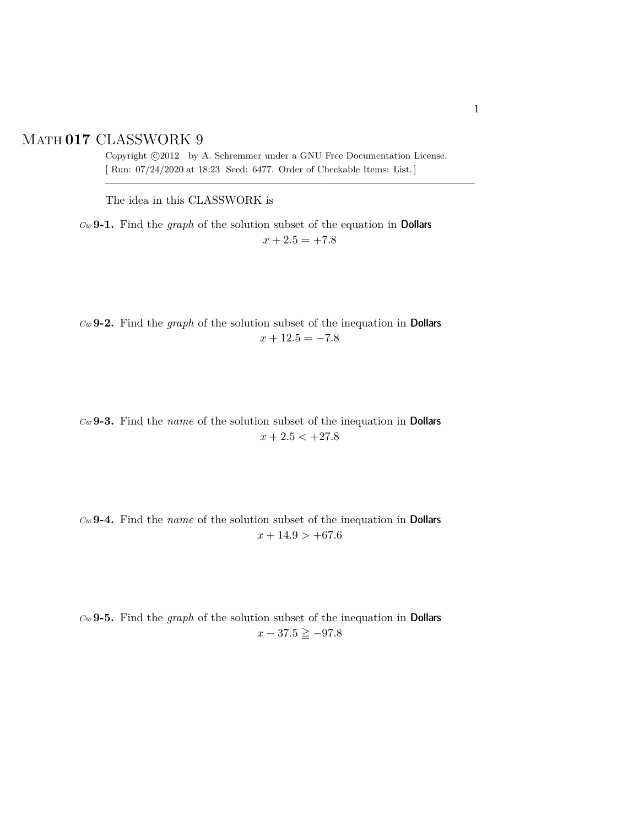## Math **017** CLASSWORK 9

Copyright  $\odot$ 2012 by A. Schremmer under a GNU Free Documentation License. [ Run: 07/24/2020 at 18:23 Seed: 6477. Order of Checkable Items: List.]

————————————————————————————————–

The idea in this CLASSWORK is

*Cw* **9-1.** Find the *graph* of the solution subset of the equation in Dollars  $x + 2.5 = +7.8$ 

*Cw* **9-2.** Find the *graph* of the solution subset of the inequation in Dollars  $x + 12.5 = -7.8$ 

*Cw* **9-3.** Find the *name* of the solution subset of the inequation in Dollars  $x + 2.5 < +27.8$ 

*Cw* **9-4.** Find the *name* of the solution subset of the inequation in Dollars  $x + 14.9 > +67.6$ 

*Cw* **9-5.** Find the *graph* of the solution subset of the inequation in Dollars  $x - 37.5 \geq -97.8$